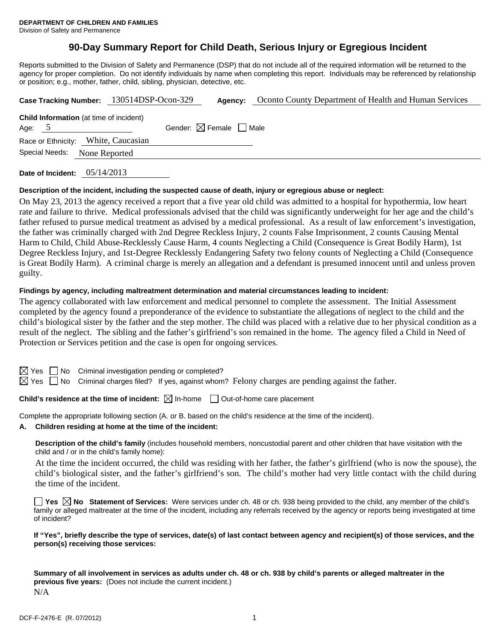# **90-Day Summary Report for Child Death, Serious Injury or Egregious Incident**

Reports submitted to the Division of Safety and Permanence (DSP) that do not include all of the required information will be returned to the agency for proper completion. Do not identify individuals by name when completing this report. Individuals may be referenced by relationship or position; e.g., mother, father, child, sibling, physician, detective, etc.

|                                                            | Case Tracking Number: 130514DSP-Ocon-329 | Agency:                                | Oconto County Department of Health and Human Services |
|------------------------------------------------------------|------------------------------------------|----------------------------------------|-------------------------------------------------------|
| <b>Child Information</b> (at time of incident)<br>Age: $5$ |                                          | Gender: $\boxtimes$ Female $\Box$ Male |                                                       |
| Race or Ethnicity: White, Caucasian                        |                                          |                                        |                                                       |
| Special Needs:<br>None Reported                            |                                          |                                        |                                                       |
|                                                            |                                          |                                        |                                                       |

**Date of Incident:** 05/14/2013

## **Description of the incident, including the suspected cause of death, injury or egregious abuse or neglect:**

On May 23, 2013 the agency received a report that a five year old child was admitted to a hospital for hypothermia, low heart rate and failure to thrive. Medical professionals advised that the child was significantly underweight for her age and the child's father refused to pursue medical treatment as advised by a medical professional. As a result of law enforcement's investigation, the father was criminally charged with 2nd Degree Reckless Injury, 2 counts False Imprisonment, 2 counts Causing Mental Harm to Child, Child Abuse-Recklessly Cause Harm, 4 counts Neglecting a Child (Consequence is Great Bodily Harm), 1st Degree Reckless Injury, and 1st-Degree Recklessly Endangering Safety two felony counts of Neglecting a Child (Consequence is Great Bodily Harm). A criminal charge is merely an allegation and a defendant is presumed innocent until and unless proven guilty.

### **Findings by agency, including maltreatment determination and material circumstances leading to incident:**

The agency collaborated with law enforcement and medical personnel to complete the assessment. The Initial Assessment completed by the agency found a preponderance of the evidence to substantiate the allegations of neglect to the child and the child's biological sister by the father and the step mother. The child was placed with a relative due to her physical condition as a result of the neglect. The sibling and the father's girlfriend's son remained in the home. The agency filed a Child in Need of Protection or Services petition and the case is open for ongoing services.

 $S \cap M$ o Criminal investigation pending or completed?

 $\boxtimes$  Yes  $\Box$  No Criminal charges filed? If yes, against whom? Felony charges are pending against the father.

# **Child's residence at the time of incident:**  $\boxtimes$  In-home  $\Box$  Out-of-home care placement

Complete the appropriate following section (A. or B. based on the child's residence at the time of the incident).

**A. Children residing at home at the time of the incident:**

**Description of the child's family** (includes household members, noncustodial parent and other children that have visitation with the child and / or in the child's family home):

 At the time the incident occurred, the child was residing with her father, the father's girlfriend (who is now the spouse), the child's biological sister, and the father's girlfriend's son. The child's mother had very little contact with the child during the time of the incident.

**Yes**  $\boxtimes$  **No** Statement of Services: Were services under ch. 48 or ch. 938 being provided to the child, any member of the child's family or alleged maltreater at the time of the incident, including any referrals received by the agency or reports being investigated at time of incident?

**If "Yes", briefly describe the type of services, date(s) of last contact between agency and recipient(s) of those services, and the person(s) receiving those services:** 

**Summary of all involvement in services as adults under ch. 48 or ch. 938 by child's parents or alleged maltreater in the previous five years:** (Does not include the current incident.) N/A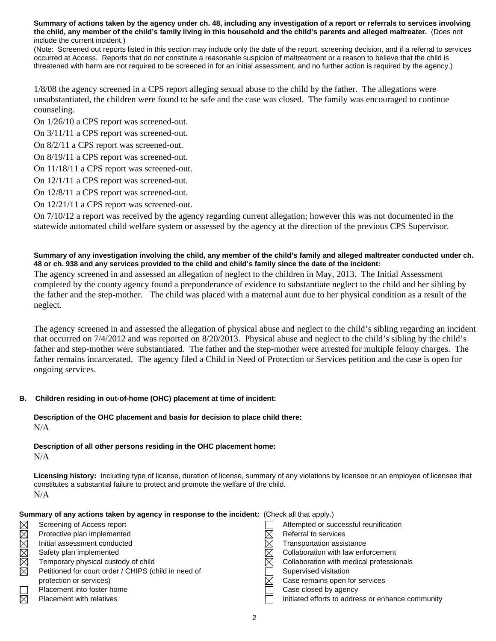**Summary of actions taken by the agency under ch. 48, including any investigation of a report or referrals to services involving the child, any member of the child's family living in this household and the child's parents and alleged maltreater.** (Does not include the current incident.)

(Note: Screened out reports listed in this section may include only the date of the report, screening decision, and if a referral to services occurred at Access. Reports that do not constitute a reasonable suspicion of maltreatment or a reason to believe that the child is threatened with harm are not required to be screened in for an initial assessment, and no further action is required by the agency.)

1/8/08 the agency screened in a CPS report alleging sexual abuse to the child by the father. The allegations were unsubstantiated, the children were found to be safe and the case was closed. The family was encouraged to continue counseling.

On 1/26/10 a CPS report was screened-out.

On 3/11/11 a CPS report was screened-out.

- On 8/2/11 a CPS report was screened-out.
- On 8/19/11 a CPS report was screened-out.
- On 11/18/11 a CPS report was screened-out.
- On 12/1/11 a CPS report was screened-out.
- On 12/8/11 a CPS report was screened-out.
- On 12/21/11 a CPS report was screened-out.

On 7/10/12 a report was received by the agency regarding current allegation; however this was not documented in the statewide automated child welfare system or assessed by the agency at the direction of the previous CPS Supervisor.

## **Summary of any investigation involving the child, any member of the child's family and alleged maltreater conducted under ch. 48 or ch. 938 and any services provided to the child and child's family since the date of the incident:**

The agency screened in and assessed an allegation of neglect to the children in May, 2013. The Initial Assessment completed by the county agency found a preponderance of evidence to substantiate neglect to the child and her sibling by the father and the step-mother. The child was placed with a maternal aunt due to her physical condition as a result of the neglect.

The agency screened in and assessed the allegation of physical abuse and neglect to the child's sibling regarding an incident that occurred on 7/4/2012 and was reported on 8/20/2013. Physical abuse and neglect to the child's sibling by the child's father and step-mother were substantiated. The father and the step-mother were arrested for multiple felony charges. The father remains incarcerated. The agency filed a Child in Need of Protection or Services petition and the case is open for ongoing services.

## **B. Children residing in out-of-home (OHC) placement at time of incident:**

## **Description of the OHC placement and basis for decision to place child there:** N/A

### **Description of all other persons residing in the OHC placement home:** N/A

**Licensing history:** Including type of license, duration of license, summary of any violations by licensee or an employee of licensee that constitutes a substantial failure to protect and promote the welfare of the child. N/A

| Summary of any actions taken by agency in response to the incident: (Check all that apply.) |                                                      |  |                                                   |
|---------------------------------------------------------------------------------------------|------------------------------------------------------|--|---------------------------------------------------|
| $\times$                                                                                    | Screening of Access report                           |  | Attempted or successful reunification             |
| $\boxtimes$                                                                                 | Protective plan implemented                          |  | Referral to services                              |
| $\boxtimes$                                                                                 | Initial assessment conducted                         |  | Transportation assistance                         |
| $\boxtimes$                                                                                 | Safety plan implemented                              |  | Collaboration with law enforcement                |
| $\boxtimes$                                                                                 | Temporary physical custody of child                  |  | Collaboration with medical professionals          |
| $\boxtimes$                                                                                 | Petitioned for court order / CHIPS (child in need of |  | Supervised visitation                             |
|                                                                                             | protection or services)                              |  | Case remains open for services                    |
|                                                                                             | Placement into foster home                           |  | Case closed by agency                             |
| $\boxtimes$                                                                                 | Placement with relatives                             |  | Initiated efforts to address or enhance community |